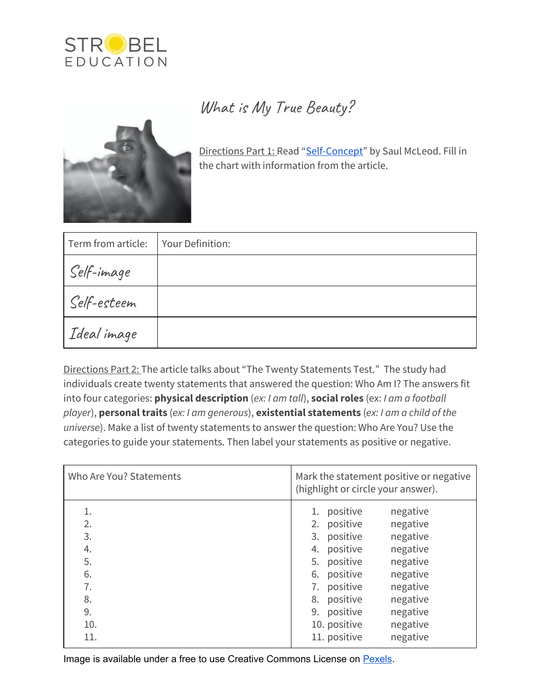

## What is My True Beauty?



Directions Part 1: Read "[Self-Concept"](https://www.commonlit.org/en/texts/self-concept) by Saul McLeod. Fill in the chart with information from the article.

| Term from article: | Your Definition: |
|--------------------|------------------|
| Self-image         |                  |
| Self-esteem        |                  |
| Ideal image        |                  |

Directions Part 2: The article talks about "The Twenty Statements Test." The study had individuals create twenty statements that answered the question: Who Am I? The answers fit into four categories: **physical description** (*ex: I am tall*), **social roles** (ex: *I am a football player*), **personal traits** (*ex: I am generous*), **existential statements** (*ex: I am a child of the universe*). Make a list of twenty statements to answer the question: Who Are You? Use the categories to guide your statements. Then label your statements as positive or negative.

| Who Are You? Statements                                   | Mark the statement positive or negative<br>(highlight or circle your answer).                                                                                                                                                                                                     |
|-----------------------------------------------------------|-----------------------------------------------------------------------------------------------------------------------------------------------------------------------------------------------------------------------------------------------------------------------------------|
| 1.<br>2.<br>3.<br>4.<br>5.<br>6.<br>7.<br>8.<br>9.<br>10. | 1. positive<br>negative<br>2. positive<br>negative<br>3. positive<br>negative<br>positive<br>negative<br>4.<br>5. positive<br>negative<br>6. positive<br>negative<br>7. positive<br>negative<br>8. positive<br>negative<br>positive<br>negative<br>9.<br>10. positive<br>negative |
| 11.                                                       | negative<br>11. positive                                                                                                                                                                                                                                                          |

Image is available under a free to use Creative Commons License on [Pexels.](https://www.pexels.com/photo/grayscale-photo-of-human-hand-2050590/)